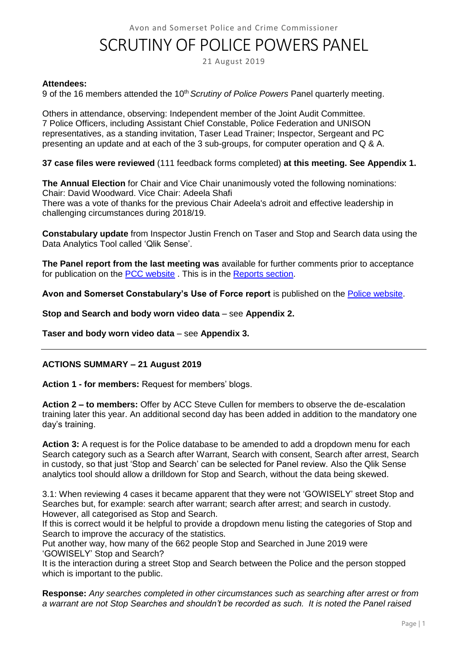Avon and Somerset Police and Crime Commissioner

## SCRUTINY OF POLICE POWERS PANEL

21 August 2019

#### **Attendees:**

9 of the 16 members attended the 10<sup>th</sup> *Scrutiny of Police Powers* Panel quarterly meeting.

Others in attendance, observing: Independent member of the Joint Audit Committee. 7 Police Officers, including Assistant Chief Constable, Police Federation and UNISON representatives, as a standing invitation, Taser Lead Trainer; Inspector, Sergeant and PC presenting an update and at each of the 3 sub-groups, for computer operation and Q & A.

**37 case files were reviewed** (111 feedback forms completed) **at this meeting. See Appendix 1.**

**The Annual Election** for Chair and Vice Chair unanimously voted the following nominations: Chair: David Woodward. Vice Chair: Adeela Shafi There was a vote of thanks for the previous Chair Adeela's adroit and effective leadership in challenging circumstances during 2018/19.

**Constabulary update** from Inspector Justin French on Taser and Stop and Search data using the Data Analytics Tool called 'Qlik Sense'.

**The Panel report from the last meeting was** available for further comments prior to acceptance for publication on the [PCC website](http://www.avonandsomerset-pcc.gov.uk/Openness/Scrutiny.aspx) . This is in the [Reports section.](http://www.avonandsomerset-pcc.gov.uk/Openness/Scrutiny/Scrutiny-of-Police-Powers-Panel-Reports.aspx)

**Avon and Somerset Constabulary's Use of Force report** is published on the [Police website.](https://www.avonandsomerset.police.uk/about-us/publication-scheme/what-our-priorities-are-and-how-we-are-doing/use-of-force/)

**Stop and Search and body worn video data** – see **Appendix 2.**

**Taser and body worn video data** – see **Appendix 3.**

## **ACTIONS SUMMARY – 21 August 2019**

**Action 1 - for members:** Request for members' blogs.

**Action 2 – to members:** Offer by ACC Steve Cullen for members to observe the de-escalation training later this year. An additional second day has been added in addition to the mandatory one day's training.

**Action 3:** A request is for the Police database to be amended to add a dropdown menu for each Search category such as a Search after Warrant, Search with consent, Search after arrest, Search in custody, so that just 'Stop and Search' can be selected for Panel review. Also the Qlik Sense analytics tool should allow a drilldown for Stop and Search, without the data being skewed.

3.1: When reviewing 4 cases it became apparent that they were not 'GOWISELY' street Stop and Searches but, for example: search after warrant; search after arrest; and search in custody. However, all categorised as Stop and Search.

If this is correct would it be helpful to provide a dropdown menu listing the categories of Stop and Search to improve the accuracy of the statistics.

Put another way, how many of the 662 people Stop and Searched in June 2019 were 'GOWISELY' Stop and Search?

It is the interaction during a street Stop and Search between the Police and the person stopped which is important to the public.

**Response:** *Any searches completed in other circumstances such as searching after arrest or from a warrant are not Stop Searches and shouldn't be recorded as such. It is noted the Panel raised*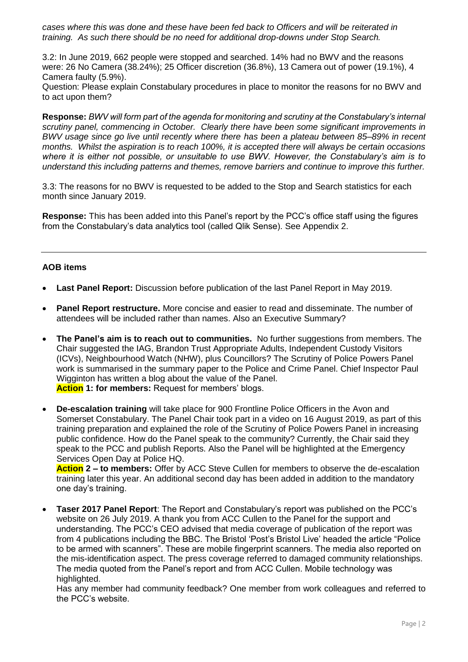*cases where this was done and these have been fed back to Officers and will be reiterated in training. As such there should be no need for additional drop-downs under Stop Search.*

3.2: In June 2019, 662 people were stopped and searched. 14% had no BWV and the reasons were: 26 No Camera (38.24%); 25 Officer discretion (36.8%), 13 Camera out of power (19.1%), 4 Camera faulty (5.9%).

Question: Please explain Constabulary procedures in place to monitor the reasons for no BWV and to act upon them?

**Response:** *BWV will form part of the agenda for monitoring and scrutiny at the Constabulary's internal scrutiny panel, commencing in October. Clearly there have been some significant improvements in BWV usage since go live until recently where there has been a plateau between 85–89% in recent months. Whilst the aspiration is to reach 100%, it is accepted there will always be certain occasions where it is either not possible, or unsuitable to use BWV. However, the Constabulary's aim is to understand this including patterns and themes, remove barriers and continue to improve this further.*

3.3: The reasons for no BWV is requested to be added to the Stop and Search statistics for each month since January 2019.

**Response:** This has been added into this Panel's report by the PCC's office staff using the figures from the Constabulary's data analytics tool (called Qlik Sense). See Appendix 2.

## **AOB items**

- **Last Panel Report:** Discussion before publication of the last Panel Report in May 2019.
- **Panel Report restructure.** More concise and easier to read and disseminate. The number of attendees will be included rather than names. Also an Executive Summary?
- **The Panel's aim is to reach out to communities.** No further suggestions from members. The Chair suggested the IAG, Brandon Trust Appropriate Adults, Independent Custody Visitors (ICVs), Neighbourhood Watch (NHW), plus Councillors? The Scrutiny of Police Powers Panel work is summarised in the summary paper to the Police and Crime Panel. Chief Inspector Paul Wigginton has written a blog about the value of the Panel. **Action 1: for members:** Request for members' blogs.
- **De-escalation training** will take place for 900 Frontline Police Officers in the Avon and Somerset Constabulary. The Panel Chair took part in a video on 16 August 2019, as part of this training preparation and explained the role of the Scrutiny of Police Powers Panel in increasing public confidence. How do the Panel speak to the community? Currently, the Chair said they speak to the PCC and publish Reports. Also the Panel will be highlighted at the Emergency Services Open Day at Police HQ.

**Action 2 – to members:** Offer by ACC Steve Cullen for members to observe the de-escalation training later this year. An additional second day has been added in addition to the mandatory one day's training.

 **Taser 2017 Panel Report**: The Report and Constabulary's report was published on the PCC's website on 26 July 2019. A thank you from ACC Cullen to the Panel for the support and understanding. The PCC's CEO advised that media coverage of publication of the report was from 4 publications including the BBC. The Bristol 'Post's Bristol Live' headed the article "Police to be armed with scanners". These are mobile fingerprint scanners. The media also reported on the mis-identification aspect. The press coverage referred to damaged community relationships. The media quoted from the Panel's report and from ACC Cullen. Mobile technology was highlighted.

Has any member had community feedback? One member from work colleagues and referred to the PCC's website.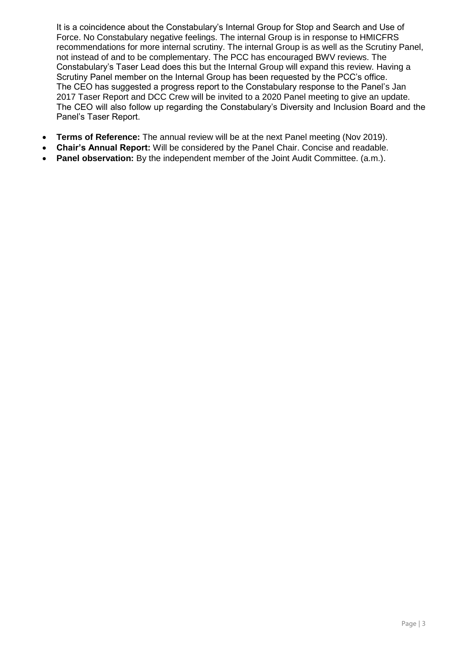It is a coincidence about the Constabulary's Internal Group for Stop and Search and Use of Force. No Constabulary negative feelings. The internal Group is in response to HMICFRS recommendations for more internal scrutiny. The internal Group is as well as the Scrutiny Panel, not instead of and to be complementary. The PCC has encouraged BWV reviews. The Constabulary's Taser Lead does this but the Internal Group will expand this review. Having a Scrutiny Panel member on the Internal Group has been requested by the PCC's office. The CEO has suggested a progress report to the Constabulary response to the Panel's Jan 2017 Taser Report and DCC Crew will be invited to a 2020 Panel meeting to give an update. The CEO will also follow up regarding the Constabulary's Diversity and Inclusion Board and the Panel's Taser Report.

- **Terms of Reference:** The annual review will be at the next Panel meeting (Nov 2019).
- **Chair's Annual Report:** Will be considered by the Panel Chair. Concise and readable.
- **Panel observation:** By the independent member of the Joint Audit Committee. (a.m.).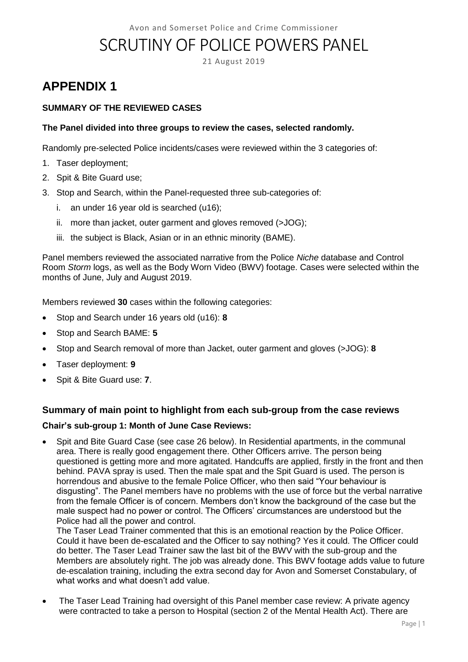# SCRUTINY OF POLICE POWERS PANEL

21 August 2019

## **APPENDIX 1**

## **SUMMARY OF THE REVIEWED CASES**

## **The Panel divided into three groups to review the cases, selected randomly.**

Randomly pre-selected Police incidents/cases were reviewed within the 3 categories of:

- 1. Taser deployment;
- 2. Spit & Bite Guard use;
- 3. Stop and Search, within the Panel-requested three sub-categories of:
	- i. an under 16 year old is searched (u16);
	- ii. more than jacket, outer garment and gloves removed (>JOG);
	- iii. the subject is Black, Asian or in an ethnic minority (BAME).

Panel members reviewed the associated narrative from the Police *Niche* database and Control Room *Storm* logs, as well as the Body Worn Video (BWV) footage. Cases were selected within the months of June, July and August 2019.

Members reviewed **30** cases within the following categories:

- Stop and Search under 16 years old (u16): **8**
- Stop and Search BAME: **5**
- Stop and Search removal of more than Jacket, outer garment and gloves (>JOG): **8**
- Taser deployment: **9**
- Spit & Bite Guard use: **7**.

## **Summary of main point to highlight from each sub-group from the case reviews**

## **Chair's sub-group 1: Month of June Case Reviews:**

 Spit and Bite Guard Case (see case 26 below). In Residential apartments, in the communal area. There is really good engagement there. Other Officers arrive. The person being questioned is getting more and more agitated. Handcuffs are applied, firstly in the front and then behind. PAVA spray is used. Then the male spat and the Spit Guard is used. The person is horrendous and abusive to the female Police Officer, who then said "Your behaviour is disgusting". The Panel members have no problems with the use of force but the verbal narrative from the female Officer is of concern. Members don't know the background of the case but the male suspect had no power or control. The Officers' circumstances are understood but the Police had all the power and control.

The Taser Lead Trainer commented that this is an emotional reaction by the Police Officer. Could it have been de-escalated and the Officer to say nothing? Yes it could. The Officer could do better. The Taser Lead Trainer saw the last bit of the BWV with the sub-group and the Members are absolutely right. The job was already done. This BWV footage adds value to future de-escalation training, including the extra second day for Avon and Somerset Constabulary, of what works and what doesn't add value.

 The Taser Lead Training had oversight of this Panel member case review: A private agency were contracted to take a person to Hospital (section 2 of the Mental Health Act). There are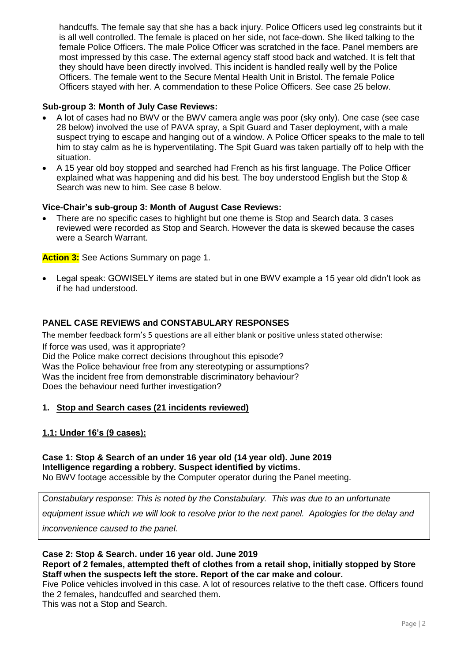handcuffs. The female say that she has a back injury. Police Officers used leg constraints but it is all well controlled. The female is placed on her side, not face-down. She liked talking to the female Police Officers. The male Police Officer was scratched in the face. Panel members are most impressed by this case. The external agency staff stood back and watched. It is felt that they should have been directly involved. This incident is handled really well by the Police Officers. The female went to the Secure Mental Health Unit in Bristol. The female Police Officers stayed with her. A commendation to these Police Officers. See case 25 below.

## **Sub-group 3: Month of July Case Reviews:**

- A lot of cases had no BWV or the BWV camera angle was poor (sky only). One case (see case 28 below) involved the use of PAVA spray, a Spit Guard and Taser deployment, with a male suspect trying to escape and hanging out of a window. A Police Officer speaks to the male to tell him to stay calm as he is hyperventilating. The Spit Guard was taken partially off to help with the situation.
- A 15 year old boy stopped and searched had French as his first language. The Police Officer explained what was happening and did his best. The boy understood English but the Stop & Search was new to him. See case 8 below.

## **Vice-Chair's sub-group 3: Month of August Case Reviews:**

 There are no specific cases to highlight but one theme is Stop and Search data. 3 cases reviewed were recorded as Stop and Search. However the data is skewed because the cases were a Search Warrant.

**Action 3:** See Actions Summary on page 1.

 Legal speak: GOWISELY items are stated but in one BWV example a 15 year old didn't look as if he had understood.

## **PANEL CASE REVIEWS and CONSTABULARY RESPONSES**

The member feedback form's 5 questions are all either blank or positive unless stated otherwise: If force was used, was it appropriate? Did the Police make correct decisions throughout this episode? Was the Police behaviour free from any stereotyping or assumptions? Was the incident free from demonstrable discriminatory behaviour? Does the behaviour need further investigation?

## **1. Stop and Search cases (21 incidents reviewed)**

## **1.1: Under 16's (9 cases):**

## **Case 1: Stop & Search of an under 16 year old (14 year old). June 2019 Intelligence regarding a robbery. Suspect identified by victims.**

No BWV footage accessible by the Computer operator during the Panel meeting.

*Constabulary response: This is noted by the Constabulary. This was due to an unfortunate* 

*equipment issue which we will look to resolve prior to the next panel. Apologies for the delay and* 

*inconvenience caused to the panel.*

#### **Case 2: Stop & Search. under 16 year old. June 2019 Report of 2 females, attempted theft of clothes from a retail shop, initially stopped by Store Staff when the suspects left the store. Report of the car make and colour.**

Five Police vehicles involved in this case. A lot of resources relative to the theft case. Officers found the 2 females, handcuffed and searched them.

This was not a Stop and Search.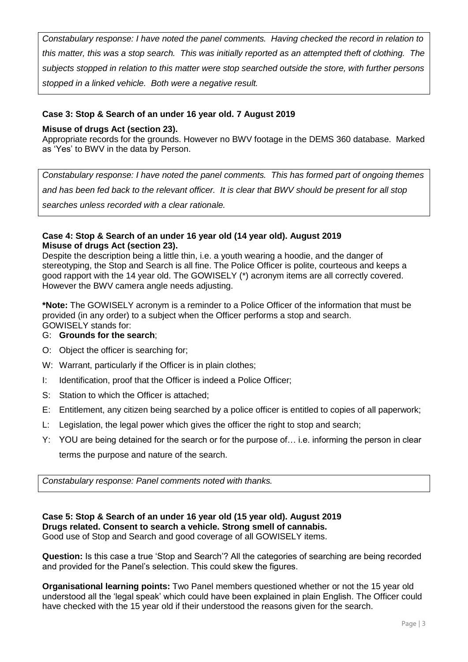*Constabulary response: I have noted the panel comments. Having checked the record in relation to this matter, this was a stop search. This was initially reported as an attempted theft of clothing. The subjects stopped in relation to this matter were stop searched outside the store, with further persons stopped in a linked vehicle. Both were a negative result.*

## **Case 3: Stop & Search of an under 16 year old. 7 August 2019**

## **Misuse of drugs Act (section 23).**

Appropriate records for the grounds. However no BWV footage in the DEMS 360 database. Marked as 'Yes' to BWV in the data by Person.

*Constabulary response: I have noted the panel comments. This has formed part of ongoing themes and has been fed back to the relevant officer. It is clear that BWV should be present for all stop searches unless recorded with a clear rationale.*

## **Case 4: Stop & Search of an under 16 year old (14 year old). August 2019 Misuse of drugs Act (section 23).**

Despite the description being a little thin, i.e. a youth wearing a hoodie, and the danger of stereotyping, the Stop and Search is all fine. The Police Officer is polite, courteous and keeps a good rapport with the 14 year old. The GOWISELY (\*) acronym items are all correctly covered. However the BWV camera angle needs adjusting.

**\*Note:** The GOWISELY acronym is a reminder to a Police Officer of the information that must be provided (in any order) to a subject when the Officer performs a stop and search. GOWISELY stands for:

- G: **Grounds for the search**;
- O: Object the officer is searching for;
- W: Warrant, particularly if the Officer is in plain clothes;
- I: Identification, proof that the Officer is indeed a Police Officer;
- S: Station to which the Officer is attached:
- E: Entitlement, any citizen being searched by a police officer is entitled to copies of all paperwork;
- L: Legislation, the legal power which gives the officer the right to stop and search;
- Y: YOU are being detained for the search or for the purpose of… i.e. informing the person in clear terms the purpose and nature of the search.

*Constabulary response: Panel comments noted with thanks.*

## **Case 5: Stop & Search of an under 16 year old (15 year old). August 2019 Drugs related. Consent to search a vehicle. Strong smell of cannabis.**

Good use of Stop and Search and good coverage of all GOWISELY items.

**Question:** Is this case a true 'Stop and Search'? All the categories of searching are being recorded and provided for the Panel's selection. This could skew the figures.

**Organisational learning points:** Two Panel members questioned whether or not the 15 year old understood all the 'legal speak' which could have been explained in plain English. The Officer could have checked with the 15 year old if their understood the reasons given for the search.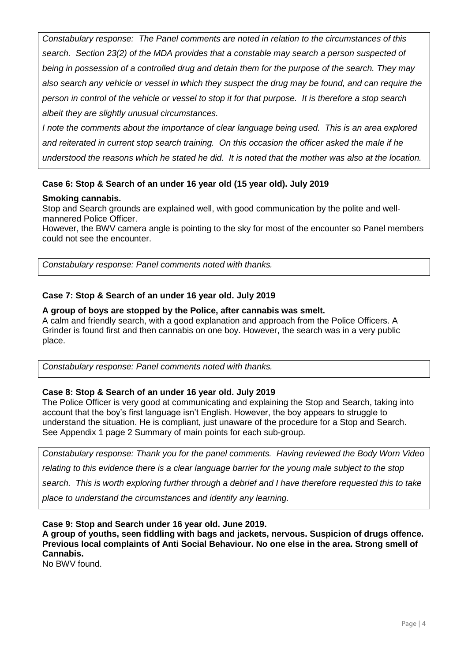*Constabulary response: The Panel comments are noted in relation to the circumstances of this search. Section 23(2) of the MDA provides that a constable may search a person suspected of being in possession of a controlled drug and detain them for the purpose of the search. They may also search any vehicle or vessel in which they suspect the drug may be found, and can require the person in control of the vehicle or vessel to stop it for that purpose. It is therefore a stop search albeit they are slightly unusual circumstances.*

*I note the comments about the importance of clear language being used. This is an area explored and reiterated in current stop search training. On this occasion the officer asked the male if he understood the reasons which he stated he did. It is noted that the mother was also at the location.*

## **Case 6: Stop & Search of an under 16 year old (15 year old). July 2019**

## **Smoking cannabis.**

Stop and Search grounds are explained well, with good communication by the polite and wellmannered Police Officer.

However, the BWV camera angle is pointing to the sky for most of the encounter so Panel members could not see the encounter.

*Constabulary response: Panel comments noted with thanks.*

## **Case 7: Stop & Search of an under 16 year old. July 2019**

#### **A group of boys are stopped by the Police, after cannabis was smelt.**

A calm and friendly search, with a good explanation and approach from the Police Officers. A Grinder is found first and then cannabis on one boy. However, the search was in a very public place.

*Constabulary response: Panel comments noted with thanks.*

#### **Case 8: Stop & Search of an under 16 year old. July 2019**

The Police Officer is very good at communicating and explaining the Stop and Search, taking into account that the boy's first language isn't English. However, the boy appears to struggle to understand the situation. He is compliant, just unaware of the procedure for a Stop and Search. See Appendix 1 page 2 Summary of main points for each sub-group.

*Constabulary response: Thank you for the panel comments. Having reviewed the Body Worn Video* 

*relating to this evidence there is a clear language barrier for the young male subject to the stop* 

*search. This is worth exploring further through a debrief and I have therefore requested this to take* 

*place to understand the circumstances and identify any learning.*

**Case 9: Stop and Search under 16 year old. June 2019.**

**A group of youths, seen fiddling with bags and jackets, nervous. Suspicion of drugs offence. Previous local complaints of Anti Social Behaviour. No one else in the area. Strong smell of Cannabis.** 

No BWV found.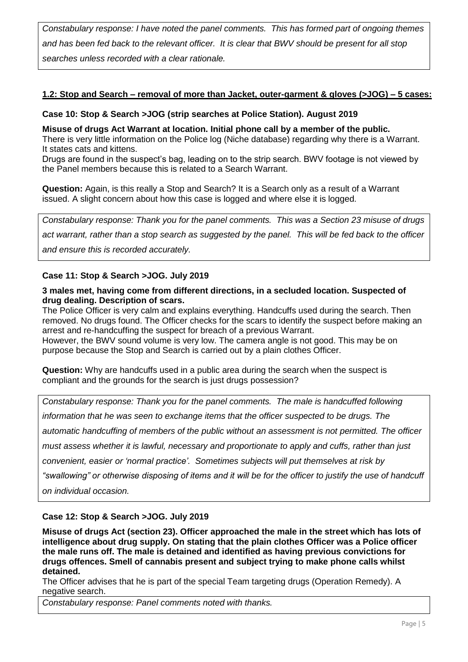*Constabulary response: I have noted the panel comments. This has formed part of ongoing themes and has been fed back to the relevant officer. It is clear that BWV should be present for all stop searches unless recorded with a clear rationale.*

## **1.2: Stop and Search – removal of more than Jacket, outer-garment & gloves (>JOG) – 5 cases:**

## **Case 10: Stop & Search >JOG (strip searches at Police Station). August 2019**

**Misuse of drugs Act Warrant at location. Initial phone call by a member of the public.**

There is very little information on the Police log (Niche database) regarding why there is a Warrant. It states cats and kittens.

Drugs are found in the suspect's bag, leading on to the strip search. BWV footage is not viewed by the Panel members because this is related to a Search Warrant.

**Question:** Again, is this really a Stop and Search? It is a Search only as a result of a Warrant issued. A slight concern about how this case is logged and where else it is logged.

*Constabulary response: Thank you for the panel comments. This was a Section 23 misuse of drugs* 

*act warrant, rather than a stop search as suggested by the panel. This will be fed back to the officer* 

*and ensure this is recorded accurately.*

## **Case 11: Stop & Search >JOG. July 2019**

#### **3 males met, having come from different directions, in a secluded location. Suspected of drug dealing. Description of scars.**

The Police Officer is very calm and explains everything. Handcuffs used during the search. Then removed. No drugs found. The Officer checks for the scars to identify the suspect before making an arrest and re-handcuffing the suspect for breach of a previous Warrant.

However, the BWV sound volume is very low. The camera angle is not good. This may be on purpose because the Stop and Search is carried out by a plain clothes Officer.

**Question:** Why are handcuffs used in a public area during the search when the suspect is compliant and the grounds for the search is just drugs possession?

*Constabulary response: Thank you for the panel comments. The male is handcuffed following information that he was seen to exchange items that the officer suspected to be drugs. The automatic handcuffing of members of the public without an assessment is not permitted. The officer must assess whether it is lawful, necessary and proportionate to apply and cuffs, rather than just convenient, easier or 'normal practice'. Sometimes subjects will put themselves at risk by "swallowing" or otherwise disposing of items and it will be for the officer to justify the use of handcuff on individual occasion.*

## **Case 12: Stop & Search >JOG. July 2019**

**Misuse of drugs Act (section 23). Officer approached the male in the street which has lots of intelligence about drug supply. On stating that the plain clothes Officer was a Police officer the male runs off. The male is detained and identified as having previous convictions for drugs offences. Smell of cannabis present and subject trying to make phone calls whilst detained.**

The Officer advises that he is part of the special Team targeting drugs (Operation Remedy). A negative search.

*Constabulary response: Panel comments noted with thanks.*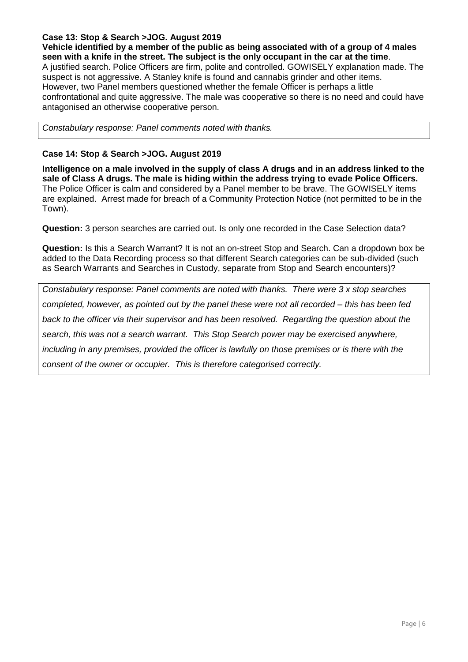## **Case 13: Stop & Search >JOG. August 2019**

**Vehicle identified by a member of the public as being associated with of a group of 4 males seen with a knife in the street. The subject is the only occupant in the car at the time**. A justified search. Police Officers are firm, polite and controlled. GOWISELY explanation made. The suspect is not aggressive. A Stanley knife is found and cannabis grinder and other items. However, two Panel members questioned whether the female Officer is perhaps a little confrontational and quite aggressive. The male was cooperative so there is no need and could have antagonised an otherwise cooperative person.

*Constabulary response: Panel comments noted with thanks.*

## **Case 14: Stop & Search >JOG. August 2019**

**Intelligence on a male involved in the supply of class A drugs and in an address linked to the sale of Class A drugs. The male is hiding within the address trying to evade Police Officers.**  The Police Officer is calm and considered by a Panel member to be brave. The GOWISELY items are explained. Arrest made for breach of a Community Protection Notice (not permitted to be in the Town).

**Question:** 3 person searches are carried out. Is only one recorded in the Case Selection data?

**Question:** Is this a Search Warrant? It is not an on-street Stop and Search. Can a dropdown box be added to the Data Recording process so that different Search categories can be sub-divided (such as Search Warrants and Searches in Custody, separate from Stop and Search encounters)?

*Constabulary response: Panel comments are noted with thanks. There were 3 x stop searches completed, however, as pointed out by the panel these were not all recorded – this has been fed back to the officer via their supervisor and has been resolved. Regarding the question about the search, this was not a search warrant. This Stop Search power may be exercised anywhere, including in any premises, provided the officer is lawfully on those premises or is there with the consent of the owner or occupier. This is therefore categorised correctly.*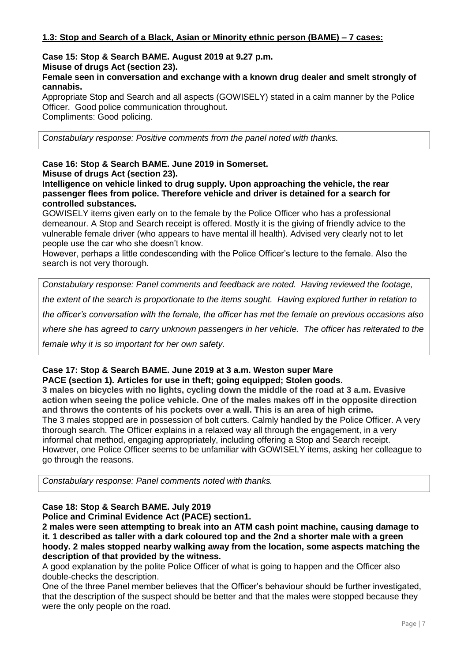#### **Case 15: Stop & Search BAME. August 2019 at 9.27 p.m. Misuse of drugs Act (section 23).**

## **Female seen in conversation and exchange with a known drug dealer and smelt strongly of cannabis.**

Appropriate Stop and Search and all aspects (GOWISELY) stated in a calm manner by the Police Officer. Good police communication throughout. Compliments: Good policing.

*Constabulary response: Positive comments from the panel noted with thanks.*

#### **Case 16: Stop & Search BAME. June 2019 in Somerset. Misuse of drugs Act (section 23).**

**Intelligence on vehicle linked to drug supply. Upon approaching the vehicle, the rear passenger flees from police. Therefore vehicle and driver is detained for a search for controlled substances.** 

GOWISELY items given early on to the female by the Police Officer who has a professional demeanour. A Stop and Search receipt is offered. Mostly it is the giving of friendly advice to the vulnerable female driver (who appears to have mental ill health). Advised very clearly not to let people use the car who she doesn't know.

However, perhaps a little condescending with the Police Officer's lecture to the female. Also the search is not very thorough.

*Constabulary response: Panel comments and feedback are noted. Having reviewed the footage, the extent of the search is proportionate to the items sought. Having explored further in relation to the officer's conversation with the female, the officer has met the female on previous occasions also where she has agreed to carry unknown passengers in her vehicle. The officer has reiterated to the female why it is so important for her own safety.*

#### **Case 17: Stop & Search BAME. June 2019 at 3 a.m. Weston super Mare PACE (section 1). Articles for use in theft; going equipped; Stolen goods.**

**3 males on bicycles with no lights, cycling down the middle of the road at 3 a.m. Evasive action when seeing the police vehicle. One of the males makes off in the opposite direction and throws the contents of his pockets over a wall. This is an area of high crime.**  The 3 males stopped are in possession of bolt cutters. Calmly handled by the Police Officer. A very thorough search. The Officer explains in a relaxed way all through the engagement, in a very informal chat method, engaging appropriately, including offering a Stop and Search receipt. However, one Police Officer seems to be unfamiliar with GOWISELY items, asking her colleague to go through the reasons.

*Constabulary response: Panel comments noted with thanks.*

## **Case 18: Stop & Search BAME. July 2019**

**Police and Criminal Evidence Act (PACE) section1.** 

**2 males were seen attempting to break into an ATM cash point machine, causing damage to it. 1 described as taller with a dark coloured top and the 2nd a shorter male with a green hoody. 2 males stopped nearby walking away from the location, some aspects matching the description of that provided by the witness.**

A good explanation by the polite Police Officer of what is going to happen and the Officer also double-checks the description.

One of the three Panel member believes that the Officer's behaviour should be further investigated, that the description of the suspect should be better and that the males were stopped because they were the only people on the road.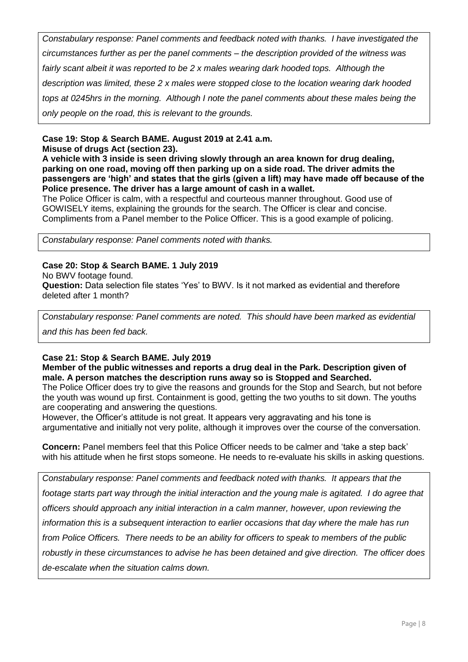*Constabulary response: Panel comments and feedback noted with thanks. I have investigated the circumstances further as per the panel comments – the description provided of the witness was fairly scant albeit it was reported to be 2 x males wearing dark hooded tops. Although the description was limited, these 2 x males were stopped close to the location wearing dark hooded tops at 0245hrs in the morning. Although I note the panel comments about these males being the only people on the road, this is relevant to the grounds.*

## **Case 19: Stop & Search BAME. August 2019 at 2.41 a.m.**

**Misuse of drugs Act (section 23).**

**A vehicle with 3 inside is seen driving slowly through an area known for drug dealing, parking on one road, moving off then parking up on a side road. The driver admits the passengers are 'high' and states that the girls (given a lift) may have made off because of the Police presence. The driver has a large amount of cash in a wallet.**

The Police Officer is calm, with a respectful and courteous manner throughout. Good use of GOWISELY items, explaining the grounds for the search. The Officer is clear and concise. Compliments from a Panel member to the Police Officer. This is a good example of policing.

*Constabulary response: Panel comments noted with thanks.*

## **Case 20: Stop & Search BAME. 1 July 2019**

No BWV footage found.

**Question:** Data selection file states 'Yes' to BWV. Is it not marked as evidential and therefore deleted after 1 month?

*Constabulary response: Panel comments are noted. This should have been marked as evidential* 

*and this has been fed back.*

## **Case 21: Stop & Search BAME. July 2019**

## **Member of the public witnesses and reports a drug deal in the Park. Description given of male. A person matches the description runs away so is Stopped and Searched.**

The Police Officer does try to give the reasons and grounds for the Stop and Search, but not before the youth was wound up first. Containment is good, getting the two youths to sit down. The youths are cooperating and answering the questions.

However, the Officer's attitude is not great. It appears very aggravating and his tone is argumentative and initially not very polite, although it improves over the course of the conversation.

**Concern:** Panel members feel that this Police Officer needs to be calmer and 'take a step back' with his attitude when he first stops someone. He needs to re-evaluate his skills in asking questions.

*Constabulary response: Panel comments and feedback noted with thanks. It appears that the footage starts part way through the initial interaction and the young male is agitated. I do agree that officers should approach any initial interaction in a calm manner, however, upon reviewing the information this is a subsequent interaction to earlier occasions that day where the male has run from Police Officers. There needs to be an ability for officers to speak to members of the public robustly in these circumstances to advise he has been detained and give direction. The officer does de-escalate when the situation calms down.*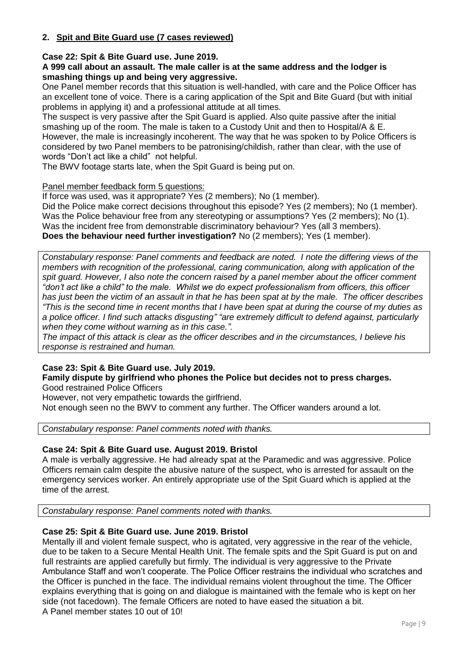## **2. Spit and Bite Guard use (7 cases reviewed)**

## **Case 22: Spit & Bite Guard use. June 2019.**

## **A 999 call about an assault. The male caller is at the same address and the lodger is smashing things up and being very aggressive.**

One Panel member records that this situation is well-handled, with care and the Police Officer has an excellent tone of voice. There is a caring application of the Spit and Bite Guard (but with initial problems in applying it) and a professional attitude at all times.

The suspect is very passive after the Spit Guard is applied. Also quite passive after the initial smashing up of the room. The male is taken to a Custody Unit and then to Hospital/A & E. However, the male is increasingly incoherent. The way that he was spoken to by Police Officers is considered by two Panel members to be patronising/childish, rather than clear, with the use of words "Don't act like a child" not helpful.

The BWV footage starts late, when the Spit Guard is being put on.

## Panel member feedback form 5 questions:

If force was used, was it appropriate? Yes (2 members); No (1 member).

Did the Police make correct decisions throughout this episode? Yes (2 members); No (1 member). Was the Police behaviour free from any stereotyping or assumptions? Yes (2 members); No (1). Was the incident free from demonstrable discriminatory behaviour? Yes (all 3 members). **Does the behaviour need further investigation?** No (2 members); Yes (1 member).

*Constabulary response: Panel comments and feedback are noted. I note the differing views of the members with recognition of the professional, caring communication, along with application of the spit guard. However, I also note the concern raised by a panel member about the officer comment "don't act like a child" to the male. Whilst we do expect professionalism from officers, this officer has just been the victim of an assault in that he has been spat at by the male. The officer describes "This is the second time in recent months that I have been spat at during the course of my duties as a police officer. I find such attacks disgusting" "are extremely difficult to defend against, particularly when they come without warning as in this case.".*

*The impact of this attack is clear as the officer describes and in the circumstances, I believe his response is restrained and human.*

## **Case 23: Spit & Bite Guard use. July 2019.**

#### **Family dispute by girlfriend who phones the Police but decides not to press charges.**  Good restrained Police Officers

However, not very empathetic towards the girlfriend.

Not enough seen no the BWV to comment any further. The Officer wanders around a lot.

*Constabulary response: Panel comments noted with thanks.*

## **Case 24: Spit & Bite Guard use. August 2019. Bristol**

A male is verbally aggressive. He had already spat at the Paramedic and was aggressive. Police Officers remain calm despite the abusive nature of the suspect, who is arrested for assault on the emergency services worker. An entirely appropriate use of the Spit Guard which is applied at the time of the arrest.

*Constabulary response: Panel comments noted with thanks.*

## **Case 25: Spit & Bite Guard use. June 2019. Bristol**

Mentally ill and violent female suspect, who is agitated, very aggressive in the rear of the vehicle, due to be taken to a Secure Mental Health Unit. The female spits and the Spit Guard is put on and full restraints are applied carefully but firmly. The individual is very aggressive to the Private Ambulance Staff and won't cooperate. The Police Officer restrains the individual who scratches and the Officer is punched in the face. The individual remains violent throughout the time. The Officer explains everything that is going on and dialogue is maintained with the female who is kept on her side (not facedown). The female Officers are noted to have eased the situation a bit. A Panel member states 10 out of 10!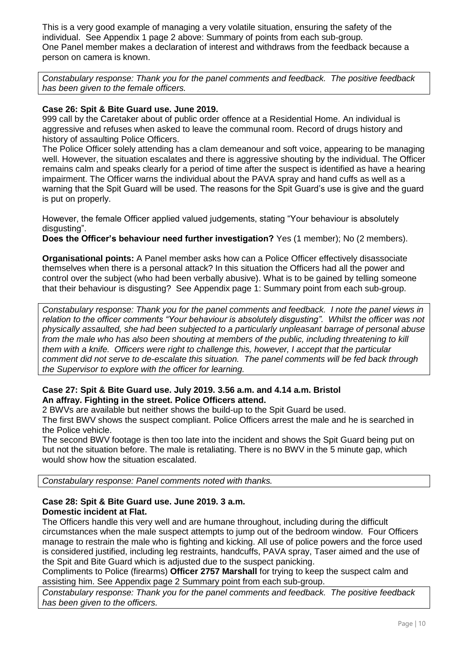This is a very good example of managing a very volatile situation, ensuring the safety of the individual. See Appendix 1 page 2 above: Summary of points from each sub-group. One Panel member makes a declaration of interest and withdraws from the feedback because a person on camera is known.

*Constabulary response: Thank you for the panel comments and feedback. The positive feedback has been given to the female officers.*

## **Case 26: Spit & Bite Guard use. June 2019.**

999 call by the Caretaker about of public order offence at a Residential Home. An individual is aggressive and refuses when asked to leave the communal room. Record of drugs history and history of assaulting Police Officers.

The Police Officer solely attending has a clam demeanour and soft voice, appearing to be managing well. However, the situation escalates and there is aggressive shouting by the individual. The Officer remains calm and speaks clearly for a period of time after the suspect is identified as have a hearing impairment. The Officer warns the individual about the PAVA spray and hand cuffs as well as a warning that the Spit Guard will be used. The reasons for the Spit Guard's use is give and the guard is put on properly.

However, the female Officer applied valued judgements, stating "Your behaviour is absolutely disgusting".

**Does the Officer's behaviour need further investigation?** Yes (1 member); No (2 members).

**Organisational points:** A Panel member asks how can a Police Officer effectively disassociate themselves when there is a personal attack? In this situation the Officers had all the power and control over the subject (who had been verbally abusive). What is to be gained by telling someone that their behaviour is disgusting? See Appendix page 1: Summary point from each sub-group.

*Constabulary response: Thank you for the panel comments and feedback. I note the panel views in relation to the officer comments "Your behaviour is absolutely disgusting". Whilst the officer was not physically assaulted, she had been subjected to a particularly unpleasant barrage of personal abuse from the male who has also been shouting at members of the public, including threatening to kill them with a knife. Officers were right to challenge this, however, I accept that the particular comment did not serve to de-escalate this situation. The panel comments will be fed back through the Supervisor to explore with the officer for learning.*

## **Case 27: Spit & Bite Guard use. July 2019. 3.56 a.m. and 4.14 a.m. Bristol An affray. Fighting in the street. Police Officers attend.**

2 BWVs are available but neither shows the build-up to the Spit Guard be used. The first BWV shows the suspect compliant. Police Officers arrest the male and he is searched in the Police vehicle.

The second BWV footage is then too late into the incident and shows the Spit Guard being put on but not the situation before. The male is retaliating. There is no BWV in the 5 minute gap, which would show how the situation escalated.

*Constabulary response: Panel comments noted with thanks.*

## **Case 28: Spit & Bite Guard use. June 2019. 3 a.m. Domestic incident at Flat.**

The Officers handle this very well and are humane throughout, including during the difficult circumstances when the male suspect attempts to jump out of the bedroom window. Four Officers manage to restrain the male who is fighting and kicking. All use of police powers and the force used is considered justified, including leg restraints, handcuffs, PAVA spray, Taser aimed and the use of the Spit and Bite Guard which is adjusted due to the suspect panicking.

Compliments to Police (firearms) **Officer 2757 Marshall** for trying to keep the suspect calm and assisting him. See Appendix page 2 Summary point from each sub-group.

*Constabulary response: Thank you for the panel comments and feedback. The positive feedback has been given to the officers.*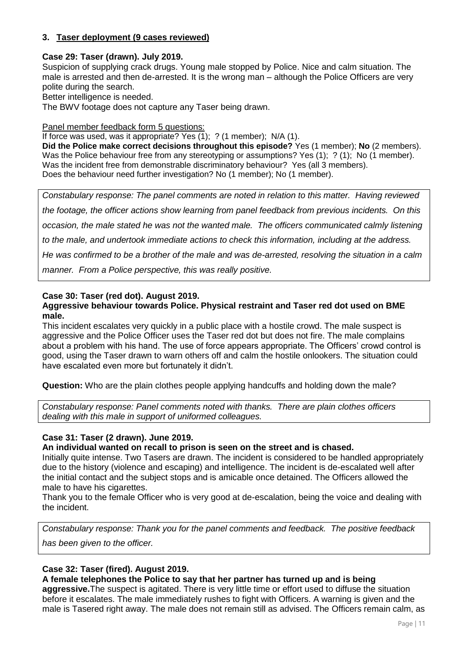## **3. Taser deployment (9 cases reviewed)**

#### **Case 29: Taser (drawn). July 2019.**

Suspicion of supplying crack drugs. Young male stopped by Police. Nice and calm situation. The male is arrested and then de-arrested. It is the wrong man – although the Police Officers are very polite during the search.

Better intelligence is needed.

The BWV footage does not capture any Taser being drawn.

#### Panel member feedback form 5 questions:

If force was used, was it appropriate? Yes  $(1)$ : ? (1 member): N/A (1).

**Did the Police make correct decisions throughout this episode?** Yes (1 member); **No** (2 members). Was the Police behaviour free from any stereotyping or assumptions? Yes (1); ? (1); No (1 member). Was the incident free from demonstrable discriminatory behaviour? Yes (all 3 members). Does the behaviour need further investigation? No (1 member); No (1 member).

*Constabulary response: The panel comments are noted in relation to this matter. Having reviewed the footage, the officer actions show learning from panel feedback from previous incidents. On this occasion, the male stated he was not the wanted male. The officers communicated calmly listening to the male, and undertook immediate actions to check this information, including at the address. He was confirmed to be a brother of the male and was de-arrested, resolving the situation in a calm manner. From a Police perspective, this was really positive.*

## **Case 30: Taser (red dot). August 2019.**

#### **Aggressive behaviour towards Police. Physical restraint and Taser red dot used on BME male.**

This incident escalates very quickly in a public place with a hostile crowd. The male suspect is aggressive and the Police Officer uses the Taser red dot but does not fire. The male complains about a problem with his hand. The use of force appears appropriate. The Officers' crowd control is good, using the Taser drawn to warn others off and calm the hostile onlookers. The situation could have escalated even more but fortunately it didn't.

**Question:** Who are the plain clothes people applying handcuffs and holding down the male?

*Constabulary response: Panel comments noted with thanks. There are plain clothes officers dealing with this male in support of uniformed colleagues.*

#### **Case 31: Taser (2 drawn). June 2019.**

#### **An individual wanted on recall to prison is seen on the street and is chased.**

Initially quite intense. Two Tasers are drawn. The incident is considered to be handled appropriately due to the history (violence and escaping) and intelligence. The incident is de-escalated well after the initial contact and the subject stops and is amicable once detained. The Officers allowed the male to have his cigarettes.

Thank you to the female Officer who is very good at de-escalation, being the voice and dealing with the incident.

*Constabulary response: Thank you for the panel comments and feedback. The positive feedback* 

*has been given to the officer.*

## **Case 32: Taser (fired). August 2019.**

## **A female telephones the Police to say that her partner has turned up and is being**

**aggressive.**The suspect is agitated. There is very little time or effort used to diffuse the situation before it escalates. The male immediately rushes to fight with Officers. A warning is given and the male is Tasered right away. The male does not remain still as advised. The Officers remain calm, as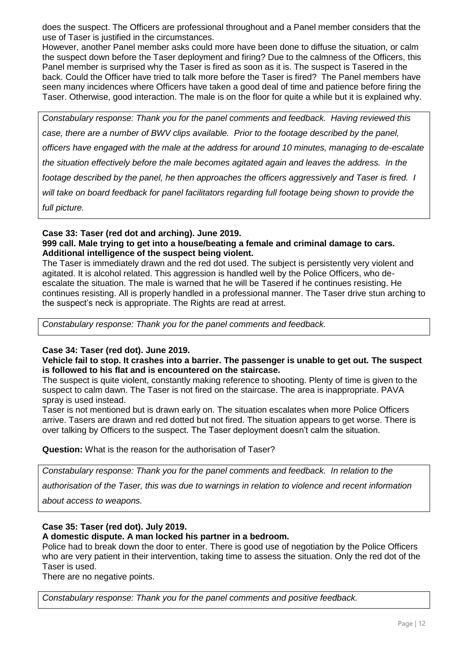does the suspect. The Officers are professional throughout and a Panel member considers that the use of Taser is justified in the circumstances.

However, another Panel member asks could more have been done to diffuse the situation, or calm the suspect down before the Taser deployment and firing? Due to the calmness of the Officers, this Panel member is surprised why the Taser is fired as soon as it is. The suspect is Tasered in the back. Could the Officer have tried to talk more before the Taser is fired? The Panel members have seen many incidences where Officers have taken a good deal of time and patience before firing the Taser. Otherwise, good interaction. The male is on the floor for quite a while but it is explained why.

*Constabulary response: Thank you for the panel comments and feedback. Having reviewed this case, there are a number of BWV clips available. Prior to the footage described by the panel, officers have engaged with the male at the address for around 10 minutes, managing to de-escalate the situation effectively before the male becomes agitated again and leaves the address. In the footage described by the panel, he then approaches the officers aggressively and Taser is fired. I will take on board feedback for panel facilitators regarding full footage being shown to provide the full picture.* 

## **Case 33: Taser (red dot and arching). June 2019. 999 call. Male trying to get into a house/beating a female and criminal damage to cars. Additional intelligence of the suspect being violent.**

The Taser is immediately drawn and the red dot used. The subject is persistently very violent and agitated. It is alcohol related. This aggression is handled well by the Police Officers, who deescalate the situation. The male is warned that he will be Tasered if he continues resisting. He continues resisting. All is properly handled in a professional manner. The Taser drive stun arching to the suspect's neck is appropriate. The Rights are read at arrest.

*Constabulary response: Thank you for the panel comments and feedback.* 

## **Case 34: Taser (red dot). June 2019.**

#### **Vehicle fail to stop. It crashes into a barrier. The passenger is unable to get out. The suspect is followed to his flat and is encountered on the staircase.**

The suspect is quite violent, constantly making reference to shooting. Plenty of time is given to the suspect to calm dawn. The Taser is not fired on the staircase. The area is inappropriate. PAVA spray is used instead.

Taser is not mentioned but is drawn early on. The situation escalates when more Police Officers arrive. Tasers are drawn and red dotted but not fired. The situation appears to get worse. There is over talking by Officers to the suspect. The Taser deployment doesn't calm the situation.

**Question:** What is the reason for the authorisation of Taser?

*Constabulary response: Thank you for the panel comments and feedback. In relation to the* 

*authorisation of the Taser, this was due to warnings in relation to violence and recent information* 

*about access to weapons.*

## **Case 35: Taser (red dot). July 2019.**

## **A domestic dispute. A man locked his partner in a bedroom.**

Police had to break down the door to enter. There is good use of negotiation by the Police Officers who are very patient in their intervention, taking time to assess the situation. Only the red dot of the Taser is used.

There are no negative points.

*Constabulary response: Thank you for the panel comments and positive feedback.*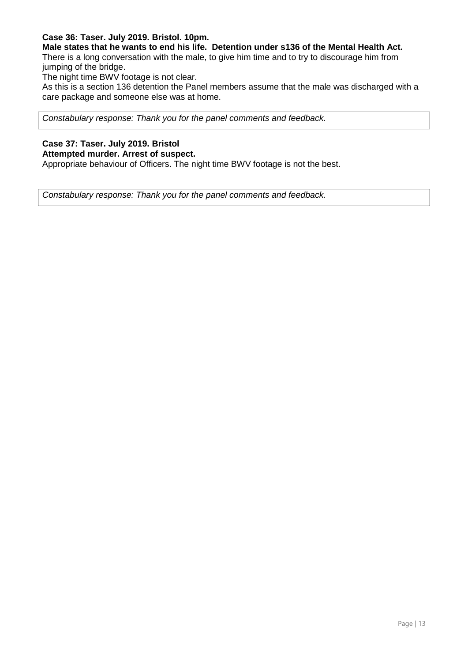## **Case 36: Taser. July 2019. Bristol. 10pm.**

**Male states that he wants to end his life. Detention under s136 of the Mental Health Act.** 

There is a long conversation with the male, to give him time and to try to discourage him from jumping of the bridge.

The night time BWV footage is not clear.

As this is a section 136 detention the Panel members assume that the male was discharged with a care package and someone else was at home.

*Constabulary response: Thank you for the panel comments and feedback.* 

## **Case 37: Taser. July 2019. Bristol**

## **Attempted murder. Arrest of suspect.**

Appropriate behaviour of Officers. The night time BWV footage is not the best.

*Constabulary response: Thank you for the panel comments and feedback.*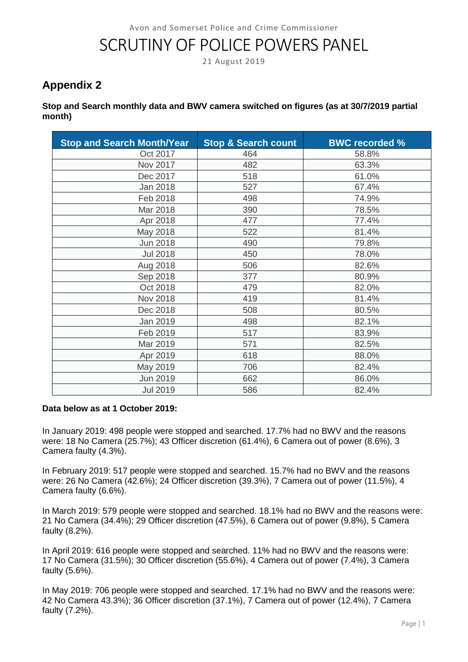# SCRUTINY OF POLICE POWERS PANEL

21 August 2019

## **Appendix 2**

## **Stop and Search monthly data and BWV camera switched on figures (as at 30/7/2019 partial month)**

| <b>Stop and Search Month/Year</b> | <b>Stop &amp; Search count</b> | <b>BWC recorded %</b> |
|-----------------------------------|--------------------------------|-----------------------|
| Oct 2017                          | 464                            | 58.8%                 |
| Nov 2017                          | 482                            | 63.3%                 |
| Dec 2017                          | 518                            | 61.0%                 |
| <b>Jan 2018</b>                   | 527                            | 67.4%                 |
| Feb 2018                          | 498                            | 74.9%                 |
| Mar 2018                          | 390                            | 78.5%                 |
| Apr 2018                          | 477                            | 77.4%                 |
| May 2018                          | 522                            | 81.4%                 |
| <b>Jun 2018</b>                   | 490                            | 79.8%                 |
| <b>Jul 2018</b>                   | 450                            | 78.0%                 |
| Aug 2018                          | 506                            | 82.6%                 |
| Sep 2018                          | 377                            | 80.9%                 |
| Oct 2018                          | 479                            | 82.0%                 |
| Nov 2018                          | 419                            | 81.4%                 |
| Dec 2018                          | 508                            | 80.5%                 |
| Jan 2019                          | 498                            | 82.1%                 |
| Feb 2019                          | 517                            | 83.9%                 |
| Mar 2019                          | 571                            | 82.5%                 |
| Apr 2019                          | 618                            | 88.0%                 |
| May 2019                          | 706                            | 82.4%                 |
| <b>Jun 2019</b>                   | 662                            | 86.0%                 |
| <b>Jul 2019</b>                   | 586                            | 82.4%                 |

## **Data below as at 1 October 2019:**

In January 2019: 498 people were stopped and searched. 17.7% had no BWV and the reasons were: 18 No Camera (25.7%); 43 Officer discretion (61.4%), 6 Camera out of power (8.6%), 3 Camera faulty (4.3%).

In February 2019: 517 people were stopped and searched. 15.7% had no BWV and the reasons were: 26 No Camera (42.6%); 24 Officer discretion (39.3%), 7 Camera out of power (11.5%), 4 Camera faulty (6.6%).

In March 2019: 579 people were stopped and searched. 18.1% had no BWV and the reasons were: 21 No Camera (34.4%); 29 Officer discretion (47.5%), 6 Camera out of power (9.8%), 5 Camera faulty (8.2%).

In April 2019: 616 people were stopped and searched. 11% had no BWV and the reasons were: 17 No Camera (31.5%); 30 Officer discretion (55.6%), 4 Camera out of power (7.4%), 3 Camera faulty (5.6%).

In May 2019: 706 people were stopped and searched. 17.1% had no BWV and the reasons were: 42 No Camera 43.3%); 36 Officer discretion (37.1%), 7 Camera out of power (12.4%), 7 Camera faulty (7.2%).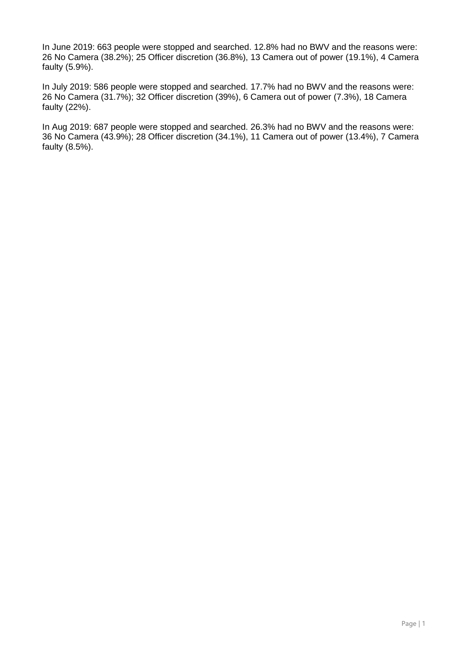In June 2019: 663 people were stopped and searched. 12.8% had no BWV and the reasons were: 26 No Camera (38.2%); 25 Officer discretion (36.8%), 13 Camera out of power (19.1%), 4 Camera faulty (5.9%).

In July 2019: 586 people were stopped and searched. 17.7% had no BWV and the reasons were: 26 No Camera (31.7%); 32 Officer discretion (39%), 6 Camera out of power (7.3%), 18 Camera faulty (22%).

In Aug 2019: 687 people were stopped and searched. 26.3% had no BWV and the reasons were: 36 No Camera (43.9%); 28 Officer discretion (34.1%), 11 Camera out of power (13.4%), 7 Camera faulty (8.5%).